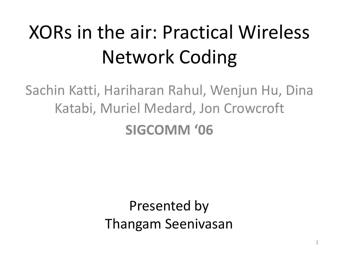# XORs in the air: Practical Wireless Network Coding

Sachin Katti, Hariharan Rahul, Wenjun Hu, Dina Katabi, Muriel Medard, Jon Crowcroft **SIGCOMM '06**

> Presented by Thangam Seenivasan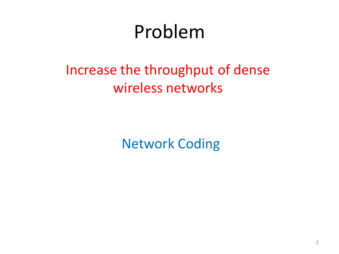### Problem

### Increase the throughput of dense wireless networks

Network Coding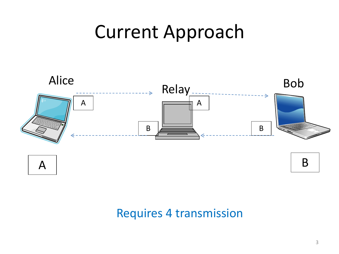### Current Approach



### Requires 4 transmission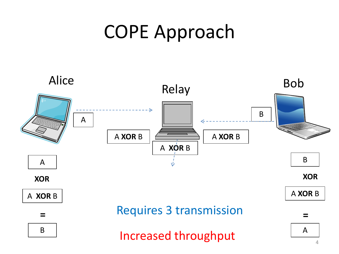### COPE Approach

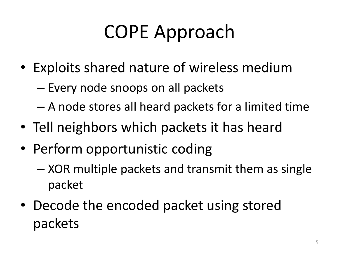## COPE Approach

- Exploits shared nature of wireless medium
	- Every node snoops on all packets
	- A node stores all heard packets for a limited time
- Tell neighbors which packets it has heard
- Perform opportunistic coding
	- XOR multiple packets and transmit them as single packet
- Decode the encoded packet using stored packets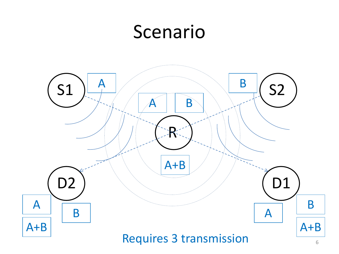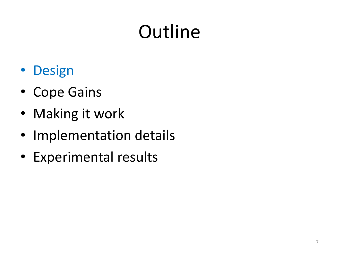# **Outline**

- Design
- Cope Gains
- Making it work
- Implementation details
- Experimental results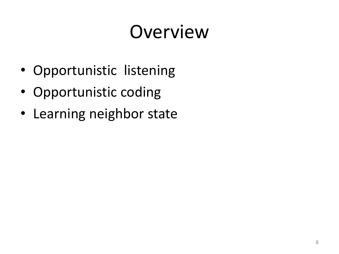## Overview

- Opportunistic listening
- Opportunistic coding
- Learning neighbor state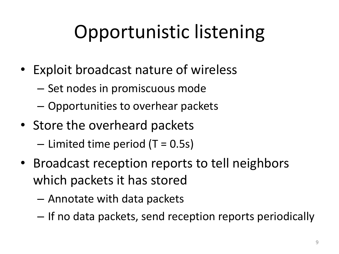# Opportunistic listening

- Exploit broadcast nature of wireless
	- Set nodes in promiscuous mode
	- Opportunities to overhear packets
- Store the overheard packets  $-$  Limited time period (T = 0.5s)
- Broadcast reception reports to tell neighbors which packets it has stored
	- Annotate with data packets
	- If no data packets, send reception reports periodically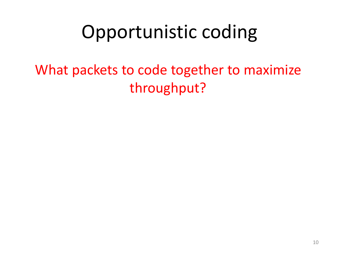What packets to code together to maximize throughput?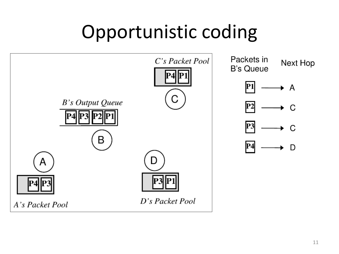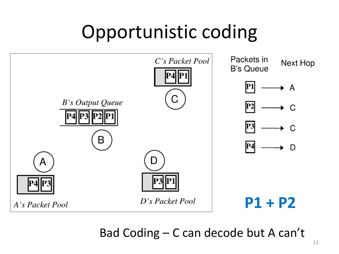

Bad Coding – C can decode but A can't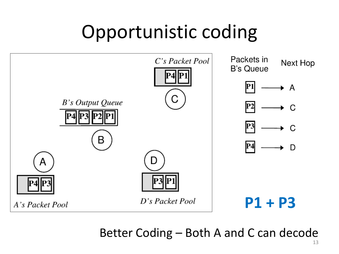

Better Coding – Both A and C can decode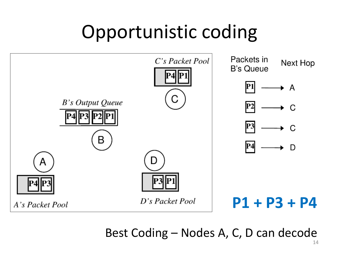

Best Coding – Nodes A, C, D can decode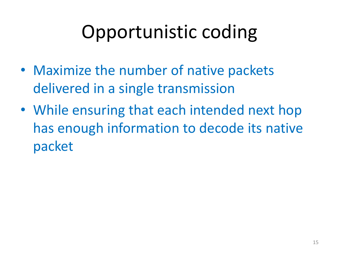- Maximize the number of native packets delivered in a single transmission
- While ensuring that each intended next hop has enough information to decode its native packet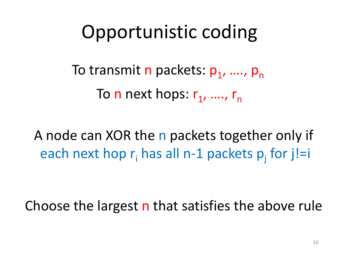To transmit n packets: p<sub>1</sub>, ...., p<sub>n</sub> To n next hops: r<sub>1</sub>, ...., r<sub>n</sub>

A node can XOR the n packets together only if each next hop  $r_i$  has all n-1 packets  $p_j$  for j!=i

Choose the largest **n** that satisfies the above rule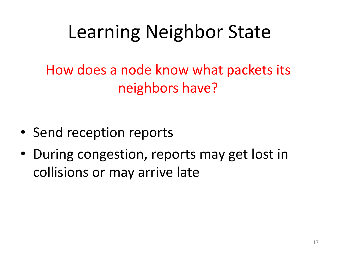## Learning Neighbor State

How does a node know what packets its neighbors have?

- Send reception reports
- During congestion, reports may get lost in collisions or may arrive late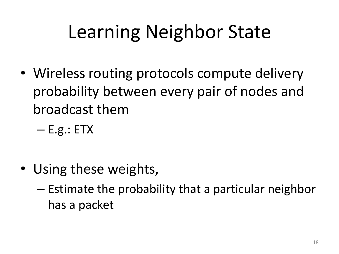## Learning Neighbor State

- Wireless routing protocols compute delivery probability between every pair of nodes and broadcast them
	- $E.g.: ETX$
- Using these weights,
	- Estimate the probability that a particular neighbor has a packet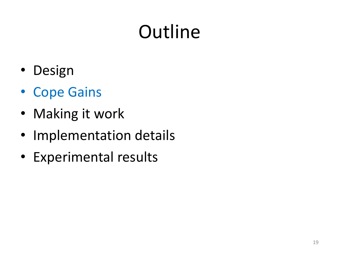# **Outline**

- Design
- Cope Gains
- Making it work
- Implementation details
- Experimental results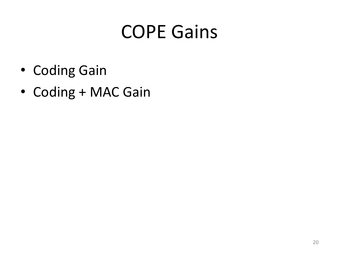## COPE Gains

- Coding Gain
- Coding + MAC Gain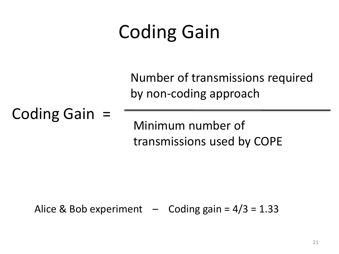## Coding Gain

Number of transmissions required by non-coding approach

Coding Gain =

Minimum number of transmissions used by COPE

Alice & Bob experiment  $-$  Coding gain =  $4/3$  = 1.33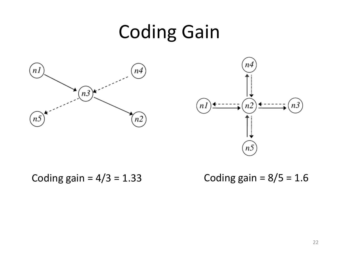## Coding Gain





Coding gain =  $4/3 = 1.33$  Coding gain =  $8/5 = 1.6$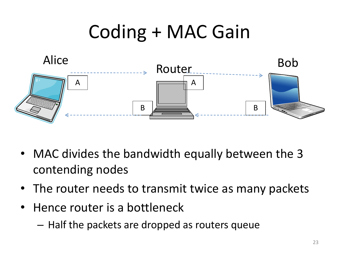

- MAC divides the bandwidth equally between the 3 contending nodes
- The router needs to transmit twice as many packets
- Hence router is a bottleneck
	- Half the packets are dropped as routers queue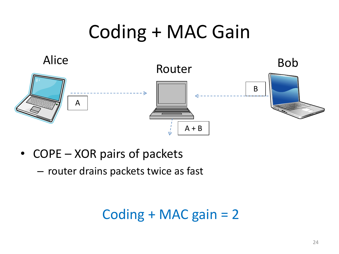

- COPE XOR pairs of packets
	- router drains packets twice as fast

Coding + MAC gain = 2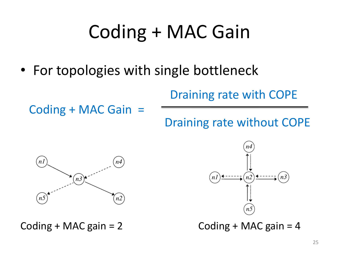• For topologies with single bottleneck

Draining rate with COPE

Coding + MAC Gain =

Draining rate without COPE





Coding + MAC gain =  $2$  Coding + MAC gain =  $4$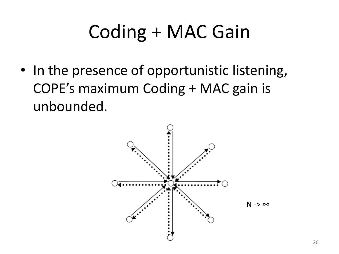• In the presence of opportunistic listening, COPE's maximum Coding + MAC gain is unbounded.

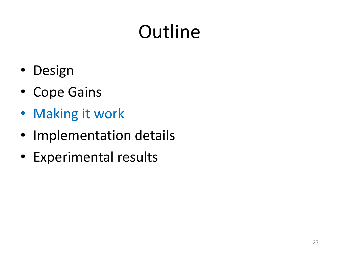# **Outline**

- Design
- Cope Gains
- Making it work
- Implementation details
- Experimental results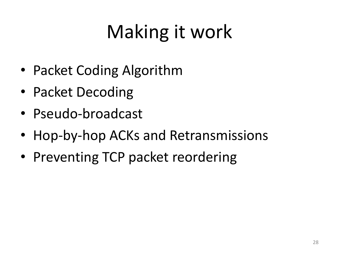# Making it work

- Packet Coding Algorithm
- Packet Decoding
- Pseudo-broadcast
- Hop-by-hop ACKs and Retransmissions
- Preventing TCP packet reordering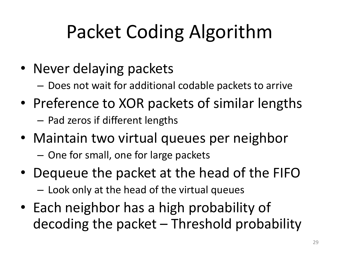# Packet Coding Algorithm

- Never delaying packets
	- Does not wait for additional codable packets to arrive
- Preference to XOR packets of similar lengths – Pad zeros if different lengths
- Maintain two virtual queues per neighbor
	- One for small, one for large packets
- Dequeue the packet at the head of the FIFO – Look only at the head of the virtual queues
- Each neighbor has a high probability of decoding the packet – Threshold probability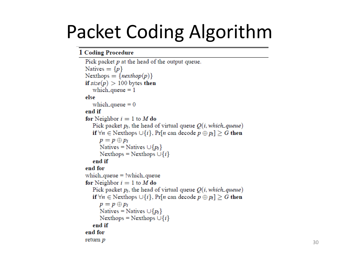## Packet Coding Algorithm

#### 1 Coding Procedure

```
Pick packet p at the head of the output queue.
Natives = \{p\}Nexthops = \{nexthop(p)\}\if size(p) > 100 bytes then
   which queue = 1else
   which queue = 0end if
for Neighbor i = 1 to M do
   Pick packet p_i, the head of virtual queue Q(i, which_queue)if \forall n \in Nexthops \cup \{i\}, Pr[n can decode p \oplus p_i] \geq G then
      p = p \oplus p_iNatives = Natives \cup \{p_i\}Nexthops = Nexthops \cup \{i\}end if
end for
which queue = !which queue
for Neighbor i = 1 to M do
   Pick packet p_i, the head of virtual queue Q(i, which_queue)if \forall n \in Nexthops \cup \{i\}, Pr[n can decode p \oplus p_i] > G then
      p = p \oplus p_iNatives = Natives \cup \{p_i\}Nexthops = Nexthops \cup \{i\}end if
end for
return p
```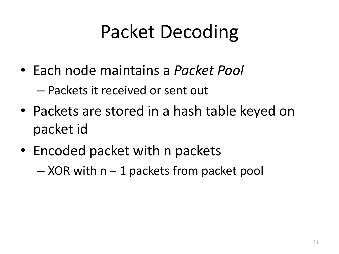## Packet Decoding

- Each node maintains a *Packet Pool* – Packets it received or sent out
- Packets are stored in a hash table keyed on packet id
- Encoded packet with n packets

 $-$  XOR with  $n - 1$  packets from packet pool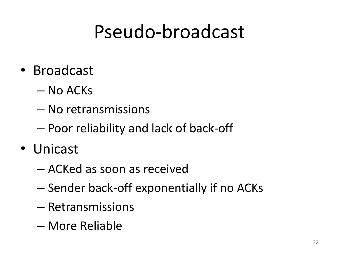### Pseudo-broadcast

- Broadcast
	- No ACKs
	- No retransmissions
	- Poor reliability and lack of back-off
- Unicast
	- ACKed as soon as received
	- Sender back-off exponentially if no ACKs
	- Retransmissions
	- More Reliable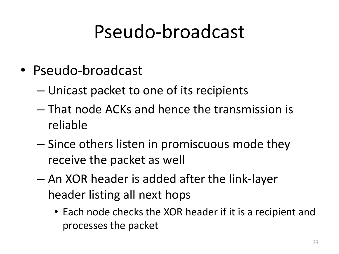### Pseudo-broadcast

- Pseudo-broadcast
	- Unicast packet to one of its recipients
	- That node ACKs and hence the transmission is reliable
	- Since others listen in promiscuous mode they receive the packet as well
	- An XOR header is added after the link-layer header listing all next hops
		- Each node checks the XOR header if it is a recipient and processes the packet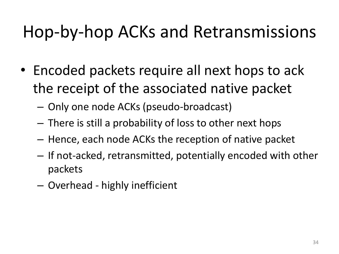### Hop-by-hop ACKs and Retransmissions

- Encoded packets require all next hops to ack the receipt of the associated native packet
	- Only one node ACKs (pseudo-broadcast)
	- There is still a probability of loss to other next hops
	- Hence, each node ACKs the reception of native packet
	- If not-acked, retransmitted, potentially encoded with other packets
	- Overhead highly inefficient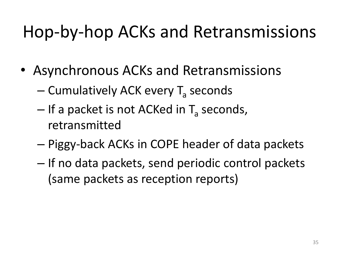### Hop-by-hop ACKs and Retransmissions

- Asynchronous ACKs and Retransmissions
	- Cumulatively ACK every T<sub>a</sub> seconds
	- If a packet is not ACKed in T<sub>a</sub> seconds, retransmitted
	- Piggy-back ACKs in COPE header of data packets
	- If no data packets, send periodic control packets (same packets as reception reports)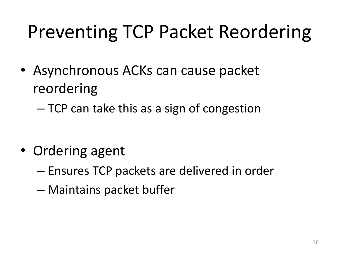## Preventing TCP Packet Reordering

• Asynchronous ACKs can cause packet reordering

– TCP can take this as a sign of congestion

- Ordering agent
	- Ensures TCP packets are delivered in order
	- Maintains packet buffer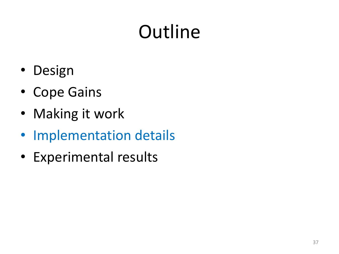# **Outline**

- Design
- Cope Gains
- Making it work
- Implementation details
- Experimental results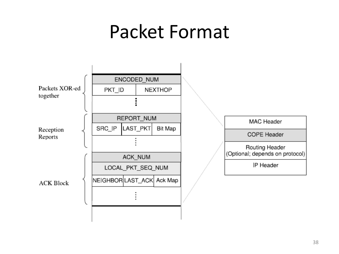### Packet Format

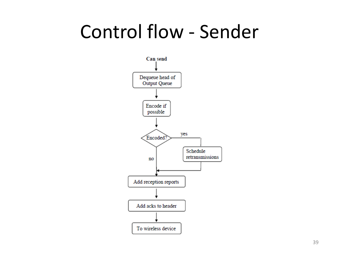### Control flow - Sender

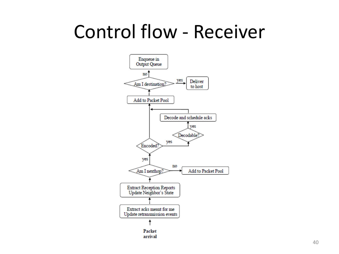### Control flow - Receiver

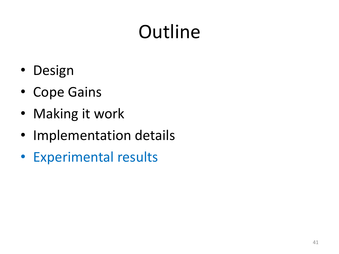# **Outline**

- Design
- Cope Gains
- Making it work
- Implementation details
- Experimental results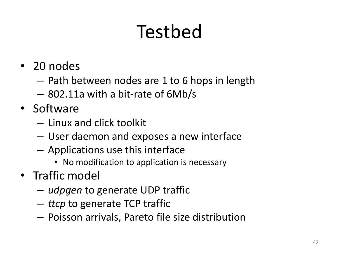# Testbed

- 20 nodes
	- Path between nodes are 1 to 6 hops in length
	- 802.11a with a bit-rate of 6Mb/s
- Software
	- Linux and click toolkit
	- User daemon and exposes a new interface
	- Applications use this interface
		- No modification to application is necessary
- Traffic model
	- *udpgen* to generate UDP traffic
	- *ttcp* to generate TCP traffic
	- Poisson arrivals, Pareto file size distribution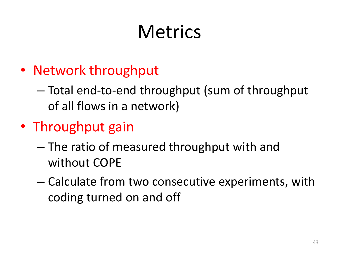## **Metrics**

- Network throughput
	- Total end-to-end throughput (sum of throughput of all flows in a network)
- Throughput gain
	- The ratio of measured throughput with and without COPE
	- Calculate from two consecutive experiments, with coding turned on and off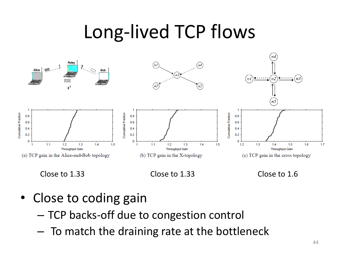## Long-lived TCP flows







- Close to coding gain
	- TCP backs-off due to congestion control
	- To match the draining rate at the bottleneck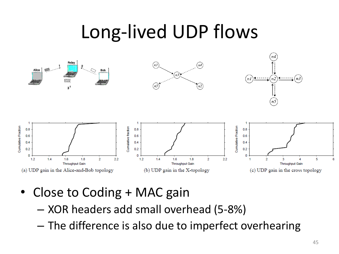### Long-lived UDP flows



- Close to Coding + MAC gain
	- XOR headers add small overhead (5-8%)
	- The difference is also due to imperfect overhearing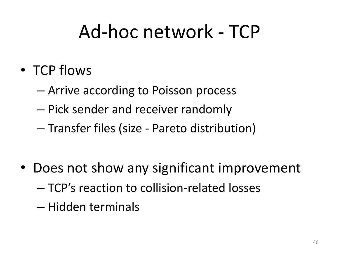## Ad-hoc network - TCP

- TCP flows
	- Arrive according to Poisson process
	- Pick sender and receiver randomly
	- Transfer files (size Pareto distribution)
- Does not show any significant improvement – TCP's reaction to collision-related losses
	- Hidden terminals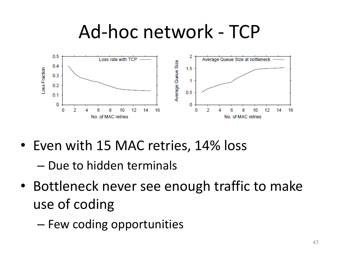### Ad-hoc network - TCP



• Even with 15 MAC retries, 14% loss

– Due to hidden terminals

• Bottleneck never see enough traffic to make use of coding

– Few coding opportunities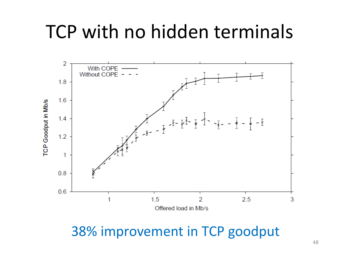### TCP with no hidden terminals



38% improvement in TCP goodput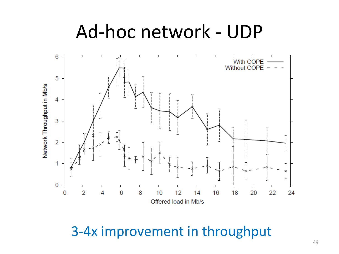### Ad-hoc network - UDP



3-4x improvement in throughput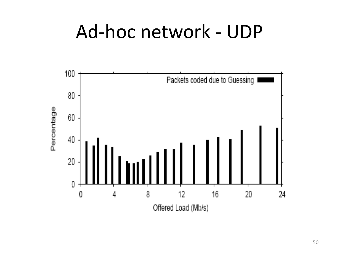### Ad-hoc network - UDP

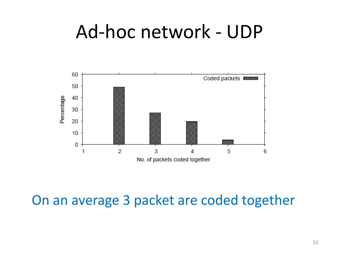### Ad-hoc network - UDP



### On an average 3 packet are coded together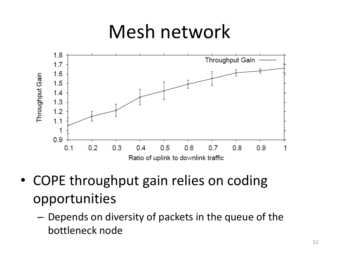### Mesh network



- COPE throughput gain relies on coding opportunities
	- Depends on diversity of packets in the queue of the bottleneck node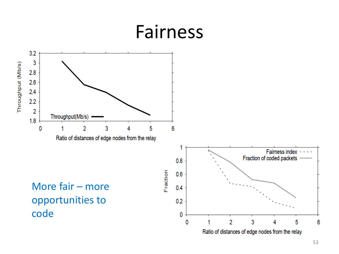### Fairness



53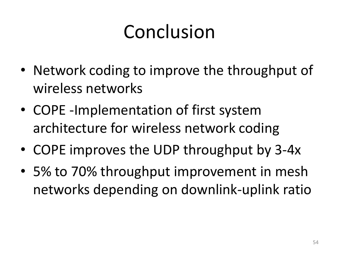## Conclusion

- Network coding to improve the throughput of wireless networks
- COPE -Implementation of first system architecture for wireless network coding
- COPE improves the UDP throughput by 3-4x
- 5% to 70% throughput improvement in mesh networks depending on downlink-uplink ratio